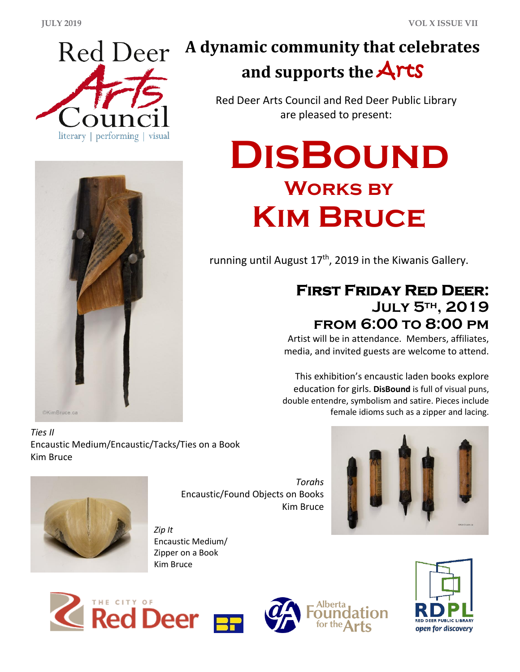



# **A dynamic community that celebrates and supports the** Arts

Red Deer Arts Council and Red Deer Public Library are pleased to present:

# **DisBound Works by Kim Bruce**

running until August  $17<sup>th</sup>$ , 2019 in the Kiwanis Gallery.

## **First Friday Red Deer: July 5th , 2019 from 6:00 to 8:00 pm**

Artist will be in attendance. Members, affiliates, media, and invited guests are welcome to attend.

This exhibition's encaustic laden books explore education for girls. **DisBound** is full of visual puns, double entendre, symbolism and satire. Pieces include female idioms such as a zipper and lacing.

*Ties II*  Encaustic Medium/Encaustic/Tacks/Ties on a Book Kim Bruce



*Torahs* Encaustic/Found Objects on Books Kim Bruce



*Zip It* Encaustic Medium/ Zipper on a Book Kim Bruce





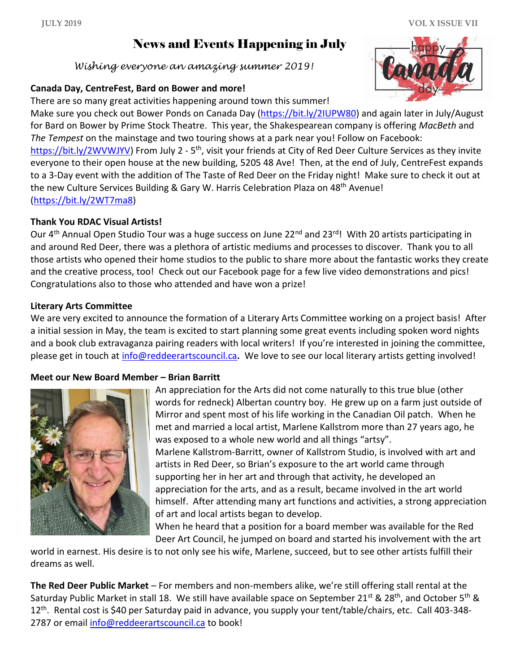*Wishing everyone an amazing summer 2019!*

#### **Canada Day, CentreFest, Bard on Bower and more!**

There are so many great activities happening around town this summer!

Make sure you check out Bower Ponds on Canada Day [\(https://bit.ly/2IUPW80\)](https://bit.ly/2IUPW80) and again later in July/August for Bard on Bower by Prime Stock Theatre. This year, the Shakespearean company is offering *MacBeth* and *The Tempest* on the mainstage and two touring shows at a park near you! Follow on Facebook: [https://bit.ly/2WVWJYV\)](https://bit.ly/2WVWJYV) From July 2 - 5<sup>th</sup>, visit your friends at City of Red Deer Culture Services as they invite everyone to their open house at the new building, 5205 48 Ave! Then, at the end of July, CentreFest expands to a 3-Day event with the addition of The Taste of Red Deer on the Friday night! Make sure to check it out at the new Culture Services Building & Gary W. Harris Celebration Plaza on 48<sup>th</sup> Avenue! [\(https://bit.ly/2WT7ma8\)](https://bit.ly/2WT7ma8)

#### **Thank You RDAC Visual Artists!**

Our 4<sup>th</sup> Annual Open Studio Tour was a huge success on June 22<sup>nd</sup> and 23<sup>rd</sup>! With 20 artists participating in and around Red Deer, there was a plethora of artistic mediums and processes to discover. Thank you to all those artists who opened their home studios to the public to share more about the fantastic works they create and the creative process, too! Check out our Facebook page for a few live video demonstrations and pics! Congratulations also to those who attended and have won a prize!

#### **Literary Arts Committee**

We are very excited to announce the formation of a Literary Arts Committee working on a project basis! After a initial session in May, the team is excited to start planning some great events including spoken word nights and a book club extravaganza pairing readers with local writers! If you're interested in joining the committee, please get in touch at [info@reddeerartscouncil.ca](mailto:info@reddeerartscouncil.ca)**.** We love to see our local literary artists getting involved!

#### **Meet our New Board Member – Brian Barritt**



An appreciation for the Arts did not come naturally to this true blue (other words for redneck) Albertan country boy. He grew up on a farm just outside of Mirror and spent most of his life working in the Canadian Oil patch. When he met and married a local artist, Marlene Kallstrom more than 27 years ago, he was exposed to a whole new world and all things "artsy". Marlene Kallstrom-Barritt, owner of Kallstrom Studio, is involved with art and artists in Red Deer, so Brian's exposure to the art world came through supporting her in her art and through that activity, he developed an appreciation for the arts, and as a result, became involved in the art world himself. After attending many art functions and activities, a strong appreciation of art and local artists began to develop.

When he heard that a position for a board member was available for the Red Deer Art Council, he jumped on board and started his involvement with the art

world in earnest. His desire is to not only see his wife, Marlene, succeed, but to see other artists fulfill their dreams as well.

**The Red Deer Public Market** – For members and non-members alike, we're still offering stall rental at the Saturday Public Market in stall 18. We still have available space on September 21<sup>st</sup> & 28<sup>th</sup>, and October 5<sup>th</sup> & 12th. Rental cost is \$40 per Saturday paid in advance, you supply your tent/table/chairs, etc. Call 403-348 2787 or email [info@reddeerartscouncil.ca](mailto:info@reddeerartscouncil.ca) to book!